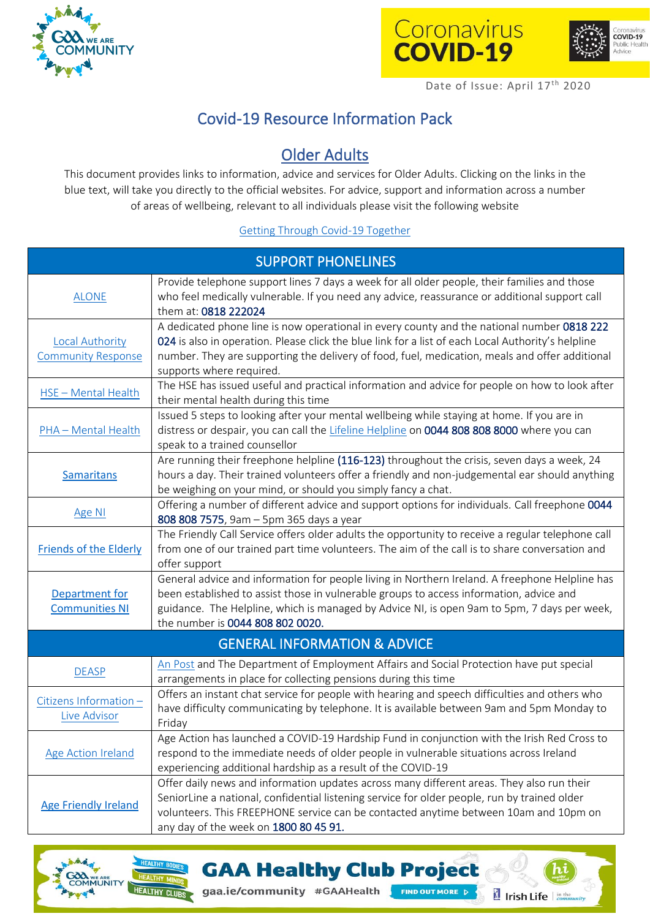





## Covid-19 Resource Information Pack

## Older Adults

This document provides links to information, advice and services for Older Adults. Clicking on the links in the blue text, will take you directly to the official websites. For advice, support and information across a number of areas of wellbeing, relevant to all individuals please visit the following website

## [Getting Through Covid-19 Together](https://www.gov.ie/en/campaigns/together/)

| <b>SUPPORT PHONELINES</b>                           |                                                                                                                                                                                                                                                                                                                                |  |
|-----------------------------------------------------|--------------------------------------------------------------------------------------------------------------------------------------------------------------------------------------------------------------------------------------------------------------------------------------------------------------------------------|--|
| <b>ALONE</b>                                        | Provide telephone support lines 7 days a week for all older people, their families and those<br>who feel medically vulnerable. If you need any advice, reassurance or additional support call<br>them at: 0818 222024                                                                                                          |  |
| <b>Local Authority</b><br><b>Community Response</b> | A dedicated phone line is now operational in every county and the national number 0818 222<br>024 is also in operation. Please click the blue link for a list of each Local Authority's helpline<br>number. They are supporting the delivery of food, fuel, medication, meals and offer additional<br>supports where required. |  |
| HSE - Mental Health                                 | The HSE has issued useful and practical information and advice for people on how to look after<br>their mental health during this time                                                                                                                                                                                         |  |
| PHA - Mental Health                                 | Issued 5 steps to looking after your mental wellbeing while staying at home. If you are in<br>distress or despair, you can call the Lifeline Helpline on 0044 808 808 8000 where you can<br>speak to a trained counsellor                                                                                                      |  |
| Samaritans                                          | Are running their freephone helpline (116-123) throughout the crisis, seven days a week, 24<br>hours a day. Their trained volunteers offer a friendly and non-judgemental ear should anything<br>be weighing on your mind, or should you simply fancy a chat.                                                                  |  |
| Age NI                                              | Offering a number of different advice and support options for individuals. Call freephone 0044<br>808 808 7575, 9am - 5pm 365 days a year                                                                                                                                                                                      |  |
| <b>Friends of the Elderly</b>                       | The Friendly Call Service offers older adults the opportunity to receive a regular telephone call<br>from one of our trained part time volunteers. The aim of the call is to share conversation and<br>offer support                                                                                                           |  |
| Department for<br><b>Communities NI</b>             | General advice and information for people living in Northern Ireland. A freephone Helpline has<br>been established to assist those in vulnerable groups to access information, advice and<br>guidance. The Helpline, which is managed by Advice NI, is open 9am to 5pm, 7 days per week,<br>the number is 0044 808 802 0020.   |  |
| <b>GENERAL INFORMATION &amp; ADVICE</b>             |                                                                                                                                                                                                                                                                                                                                |  |
| <b>DEASP</b>                                        | An Post and The Department of Employment Affairs and Social Protection have put special<br>arrangements in place for collecting pensions during this time                                                                                                                                                                      |  |
| Citizens Information -<br>Live Advisor              | Offers an instant chat service for people with hearing and speech difficulties and others who<br>have difficulty communicating by telephone. It is available between 9am and 5pm Monday to<br>Friday                                                                                                                           |  |
| <b>Age Action Ireland</b>                           | Age Action has launched a COVID-19 Hardship Fund in conjunction with the Irish Red Cross to<br>respond to the immediate needs of older people in vulnerable situations across Ireland<br>experiencing additional hardship as a result of the COVID-19                                                                          |  |
| <b>Age Friendly Ireland</b>                         | Offer daily news and information updates across many different areas. They also run their<br>SeniorLine a national, confidential listening service for older people, run by trained older<br>volunteers. This FREEPHONE service can be contacted anytime between 10am and 10pm on<br>any day of the week on 1800 80 45 91.     |  |

**GAA Healthy Club Project** 

FIND OUT MORE D

Irish Life

gaa.ie/community #GAAHealth